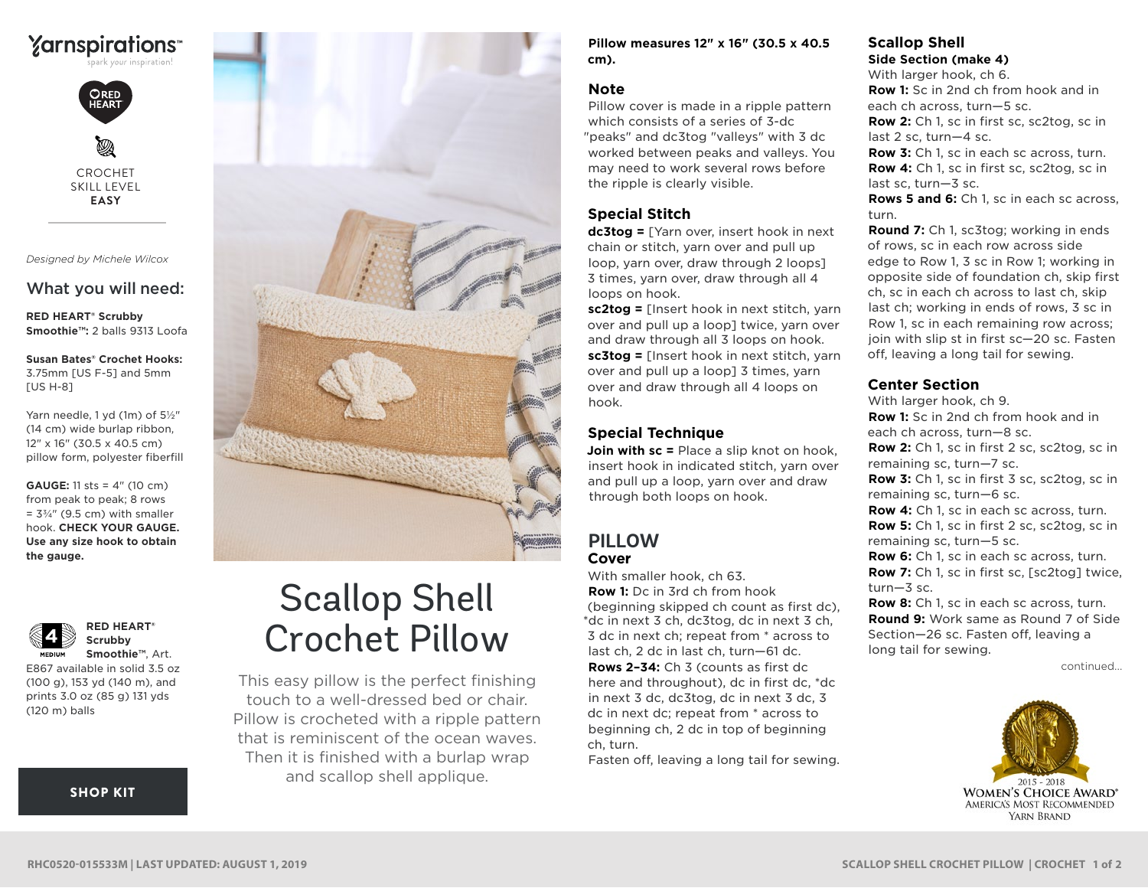



CROCHET SKILL LEVEL **EASY**

*Designed by Michele Wilcox*

## What you will need:

**RED HEART® Scrubby Smoothie™:** 2 balls 9313 Loofa

**Susan Bates® Crochet Hooks:** 3.75mm [US F-5] and 5mm [US H-8]

Yarn needle, 1 yd (1m) of 5½" (14 cm) wide burlap ribbon, 12" x 16" (30.5 x 40.5 cm) pillow form, polyester fiberfill

**GAUGE:** 11 sts = 4" (10 cm) from peak to peak; 8 rows  $= 3\frac{3}{4}$ " (9.5 cm) with smaller hook. **CHECK YOUR GAUGE. Use any size hook to obtain the gauge.**



**Scrubby Smoothie™**, Art. E867 available in solid 3.5 oz

**RED HEART®** 

(100 g), 153 yd (140 m), and prints 3.0 oz (85 g) 131 yds (120 m) balls

[SHOP KIT](https://www.yarnspirations.com/red-heart-scallop-shell-crochet-pillow/RHC0520-015533M.html#utm_source=pdf-yarnspirations&utm_medium=referral&utm_campaign=pdf-RHC0520-015533M)



# Scallop Shell Crochet Pillow

This easy pillow is the perfect finishing touch to a well-dressed bed or chair. Pillow is crocheted with a ripple pattern that is reminiscent of the ocean waves. Then it is finished with a burlap wrap and scallop shell applique.

**Pillow measures 12" x 16" (30.5 x 40.5 cm).**

#### **Note**

Pillow cover is made in a ripple pattern which consists of a series of 3-dc "peaks" and dc3tog "valleys" with 3 dc worked between peaks and valleys. You may need to work several rows before the ripple is clearly visible.

## **Special Stitch**

**dc3tog =** [Yarn over, insert hook in next chain or stitch, yarn over and pull up loop, yarn over, draw through 2 loops] 3 times, yarn over, draw through all 4 loops on hook.

**sc2tog =** [Insert hook in next stitch, yarn over and pull up a loop] twice, yarn over and draw through all 3 loops on hook. **sc3tog =** [Insert hook in next stitch, yarn over and pull up a loop] 3 times, yarn over and draw through all 4 loops on hook.

# **Special Technique**

**Join with sc =** Place a slip knot on hook. insert hook in indicated stitch, yarn over and pull up a loop, yarn over and draw through both loops on hook.

# **PILLOW Cover**

With smaller hook, ch 63. **Row 1:** Dc in 3rd ch from hook (beginning skipped ch count as first dc), \*dc in next 3 ch, dc3tog, dc in next 3 ch, 3 dc in next ch; repeat from \* across to last ch, 2 dc in last ch, turn—61 dc. **Rows 2–34:** Ch 3 (counts as first dc here and throughout), dc in first dc, \*dc in next 3 dc, dc3tog, dc in next 3 dc, 3 dc in next dc; repeat from \* across to beginning ch, 2 dc in top of beginning ch, turn.

Fasten off, leaving a long tail for sewing.

# **Scallop Shell**

**Side Section (make 4)**

With larger hook, ch 6. **Row 1:** Sc in 2nd ch from hook and in each ch across, turn—5 sc.

**Row 2:** Ch 1, sc in first sc, sc2tog, sc in last 2 sc, turn—4 sc.

**Row 3:** Ch 1, sc in each sc across, turn. **Row 4:** Ch 1, sc in first sc, sc2tog, sc in last sc, turn—3 sc.

**Rows 5 and 6:** Ch 1, sc in each sc across, turn.

**Round 7:** Ch 1, sc3tog; working in ends of rows, sc in each row across side edge to Row 1, 3 sc in Row 1; working in opposite side of foundation ch, skip first ch, sc in each ch across to last ch, skip last ch; working in ends of rows, 3 sc in Row 1, sc in each remaining row across; join with slip st in first sc—20 sc. Fasten off, leaving a long tail for sewing.

## **Center Section**

With larger hook, ch 9. **Row 1:** Sc in 2nd ch from hook and in each ch across, turn—8 sc. **Row 2:** Ch 1, sc in first 2 sc, sc2tog, sc in remaining sc, turn—7 sc. **Row 3:** Ch 1, sc in first 3 sc, sc2tog, sc in remaining sc, turn—6 sc. **Row 4:** Ch 1, sc in each sc across, turn. **Row 5:** Ch 1, sc in first 2 sc, sc2tog, sc in remaining sc, turn—5 sc. **Row 6:** Ch 1, sc in each sc across, turn. **Row 7:** Ch 1, sc in first sc, [sc2tog] twice, turn—3 sc. **Row 8:** Ch 1, sc in each sc across, turn. **Round 9:** Work same as Round 7 of Side

Section—26 sc. Fasten off, leaving a long tail for sewing.

continued...